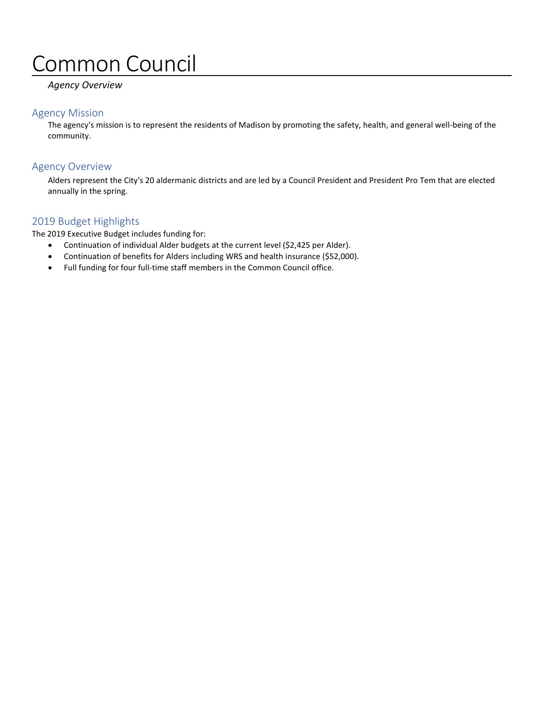# Common Council

#### *Agency Overview*

#### Agency Mission

The agency's mission is to represent the residents of Madison by promoting the safety, health, and general well-being of the community.

### Agency Overview

Alders represent the City's 20 aldermanic districts and are led by a Council President and President Pro Tem that are elected annually in the spring.

#### 2019 Budget Highlights

The 2019 Executive Budget includes funding for:

- Continuation of individual Alder budgets at the current level (\$2,425 per Alder).
- Continuation of benefits for Alders including WRS and health insurance (\$52,000).
- Full funding for four full-time staff members in the Common Council office.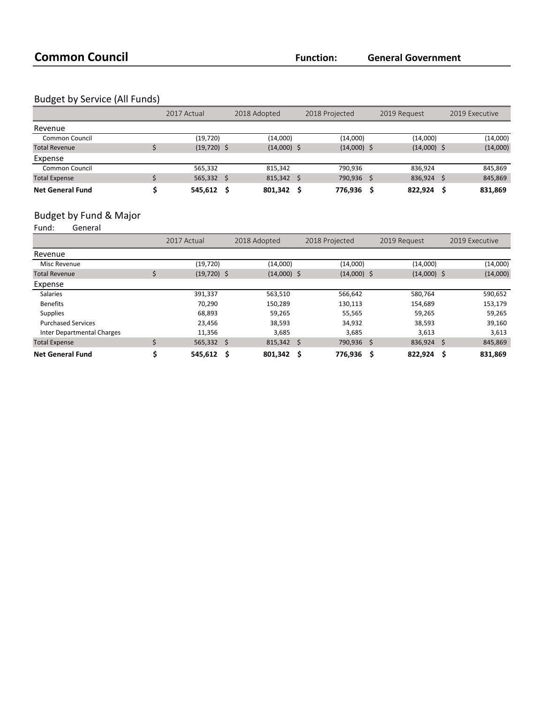### Budget by Service (All Funds)

|                         | 2017 Actual   |    | 2018 Adopted      |     | 2018 Projected |  | 2019 Request  |   | 2019 Executive |  |
|-------------------------|---------------|----|-------------------|-----|----------------|--|---------------|---|----------------|--|
| Revenue                 |               |    |                   |     |                |  |               |   |                |  |
| <b>Common Council</b>   | (19, 720)     |    | (14,000)          |     | (14,000)       |  | (14,000)      |   | (14,000)       |  |
| <b>Total Revenue</b>    | $(19,720)$ \$ |    | $(14,000)$ \$     |     | $(14,000)$ \$  |  | $(14,000)$ \$ |   | (14,000)       |  |
| Expense                 |               |    |                   |     |                |  |               |   |                |  |
| <b>Common Council</b>   | 565,332       |    | 815.342           |     | 790.936        |  | 836.924       |   | 845,869        |  |
| <b>Total Expense</b>    | 565,332       | -Ŝ | $815,342 \quad $$ |     | 790,936        |  | 836,924       | Ś | 845,869        |  |
| <b>Net General Fund</b> | 545,612       | .S | 801,342           | - S | 776,936        |  | 822.924       |   | 831,869        |  |

# Budget by Fund & Major<br>Fund: General

General

|                                   | 2017 Actual   |     | 2018 Adopted  |      | 2018 Projected |     | 2019 Request  |     | 2019 Executive |
|-----------------------------------|---------------|-----|---------------|------|----------------|-----|---------------|-----|----------------|
| Revenue                           |               |     |               |      |                |     |               |     |                |
| Misc Revenue                      | (19, 720)     |     | (14,000)      |      | (14,000)       |     | (14,000)      |     | (14,000)       |
| <b>Total Revenue</b>              | $(19,720)$ \$ |     | $(14,000)$ \$ |      | $(14,000)$ \$  |     | $(14,000)$ \$ |     | (14,000)       |
| Expense                           |               |     |               |      |                |     |               |     |                |
| <b>Salaries</b>                   | 391,337       |     | 563,510       |      | 566,642        |     | 580,764       |     | 590,652        |
| <b>Benefits</b>                   | 70.290        |     | 150,289       |      | 130,113        |     | 154,689       |     | 153,179        |
| <b>Supplies</b>                   | 68,893        |     | 59.265        |      | 55,565         |     | 59,265        |     | 59,265         |
| <b>Purchased Services</b>         | 23,456        |     | 38,593        |      | 34,932         |     | 38,593        |     | 39,160         |
| <b>Inter Departmental Charges</b> | 11,356        |     | 3,685         |      | 3,685          |     | 3,613         |     | 3,613          |
| <b>Total Expense</b>              | $565,332$ \$  |     | 815,342 \$    |      | 790,936        | \$. | 836,924       | -\$ | 845,869        |
| <b>Net General Fund</b>           | 545,612       | - Ś | 801,342       | - \$ | 776,936        | \$  | 822,924       | Ś   | 831,869        |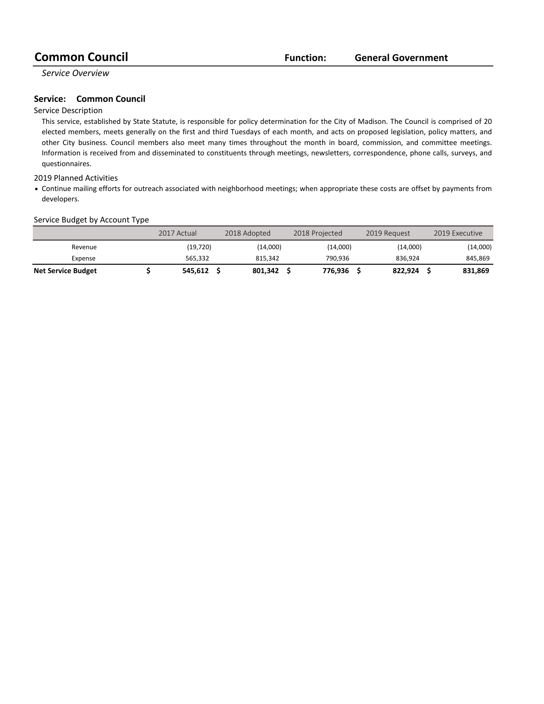*Service Overview*

#### **Service:** Common Council

#### Service Description

This service, established by State Statute, is responsible for policy determination for the City of Madison. The Council is comprised of 20 elected members, meets generally on the first and third Tuesdays of each month, and acts on proposed legislation, policy matters, and other City business. Council members also meet many times throughout the month in board, commission, and committee meetings. Information is received from and disseminated to constituents through meetings, newsletters, correspondence, phone calls, surveys, and questionnaires.

#### 2019 Planned Activities

• Continue mailing efforts for outreach associated with neighborhood meetings; when appropriate these costs are offset by payments from developers.

#### Service Budget by Account Type

|                           | 2017 Actual | 2018 Adopted | 2018 Projected | 2019 Request | 2019 Executive |
|---------------------------|-------------|--------------|----------------|--------------|----------------|
| Revenue                   | (19,720)    | (14,000)     | (14,000)       | (14,000)     | (14,000)       |
| Expense                   | 565.332     | 815.342      | 790.936        | 836.924      | 845,869        |
| <b>Net Service Budget</b> | 545.612     | 801.342      | 776.936        | 822.924      | 831,869        |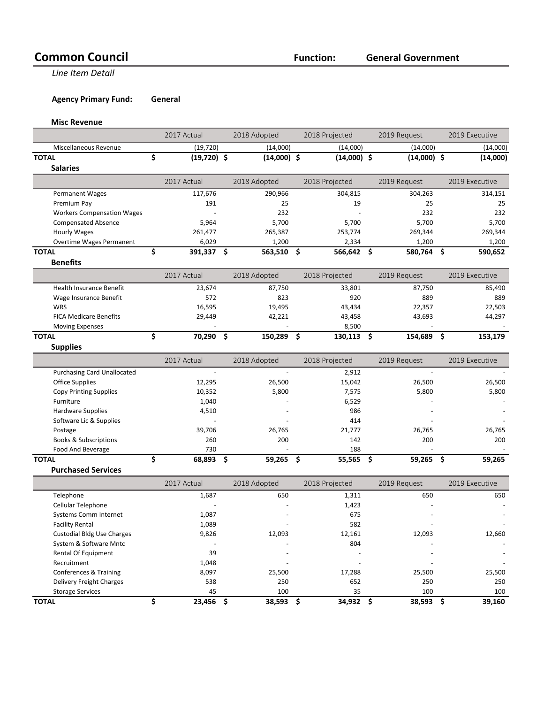# **Common Council Function:**

**Line Item Detail** 

**Agency Primary Fund: General** 

**Misc Revenue**

|                                    | 2017 Actual         | 2018 Adopted    |     | 2018 Projected | 2019 Request   |      | 2019 Executive |
|------------------------------------|---------------------|-----------------|-----|----------------|----------------|------|----------------|
| Miscellaneous Revenue              | (19, 720)           | (14,000)        |     | (14,000)       | (14,000)       |      | (14,000)       |
| <b>TOTAL</b>                       | \$<br>$(19,720)$ \$ | $(14,000)$ \$   |     | $(14,000)$ \$  | $(14,000)$ \$  |      | (14,000)       |
| <b>Salaries</b>                    |                     |                 |     |                |                |      |                |
|                                    | 2017 Actual         | 2018 Adopted    |     | 2018 Projected | 2019 Request   |      | 2019 Executive |
| <b>Permanent Wages</b>             | 117,676             | 290,966         |     | 304,815        | 304,263        |      | 314,151        |
| Premium Pay                        | 191                 | 25              |     | 19             | 25             |      | 25             |
| <b>Workers Compensation Wages</b>  |                     | 232             |     |                | 232            |      | 232            |
| <b>Compensated Absence</b>         | 5,964               | 5,700           |     | 5,700          | 5,700          |      | 5,700          |
| <b>Hourly Wages</b>                | 261,477             | 265,387         |     | 253,774        | 269,344        |      | 269,344        |
| Overtime Wages Permanent           | 6,029               | 1,200           |     | 2,334          | 1,200          |      | 1,200          |
| <b>TOTAL</b>                       | \$<br>391,337       | \$<br>563,510   | -\$ | 566,642 \$     | 580,764        | \$   | 590,652        |
| <b>Benefits</b>                    |                     |                 |     |                |                |      |                |
|                                    | 2017 Actual         | 2018 Adopted    |     | 2018 Projected | 2019 Request   |      | 2019 Executive |
| <b>Health Insurance Benefit</b>    | 23,674              | 87,750          |     | 33,801         | 87,750         |      | 85,490         |
| Wage Insurance Benefit             | 572                 | 823             |     | 920            | 889            |      | 889            |
| <b>WRS</b>                         | 16,595              | 19,495          |     | 43,434         | 22,357         |      | 22,503         |
| <b>FICA Medicare Benefits</b>      | 29,449              | 42,221          |     | 43,458         | 43,693         |      | 44,297         |
| <b>Moving Expenses</b>             |                     | L,              |     | 8,500          | $\blacksquare$ |      |                |
| <b>TOTAL</b>                       | \$<br>70,290 \$     | 150,289 \$      |     | 130,113 \$     | 154,689 \$     |      | 153,179        |
| <b>Supplies</b>                    |                     |                 |     |                |                |      |                |
|                                    | 2017 Actual         | 2018 Adopted    |     | 2018 Projected | 2019 Request   |      | 2019 Executive |
| <b>Purchasing Card Unallocated</b> | $\overline{a}$      | $\sim$          |     | 2,912          |                |      |                |
| <b>Office Supplies</b>             | 12,295              | 26,500          |     | 15,042         | 26,500         |      | 26,500         |
| <b>Copy Printing Supplies</b>      | 10,352              | 5,800           |     | 7,575          | 5,800          |      | 5,800          |
| Furniture                          | 1,040               |                 |     | 6,529          |                |      |                |
| <b>Hardware Supplies</b>           | 4,510               |                 |     | 986            |                |      |                |
| Software Lic & Supplies            |                     |                 |     | 414            |                |      |                |
| Postage                            | 39,706              | 26,765          |     | 21,777         | 26,765         |      | 26,765         |
| <b>Books &amp; Subscriptions</b>   | 260                 | 200             |     | 142            | 200            |      | 200            |
| Food And Beverage                  | 730                 |                 |     | 188            |                |      |                |
| <b>TOTAL</b>                       | \$<br>68,893        | \$<br>59,265 \$ |     | 55,565 \$      | 59,265         | - \$ | 59,265         |
| <b>Purchased Services</b>          |                     |                 |     |                |                |      |                |
|                                    | 2017 Actual         | 2018 Adopted    |     | 2018 Projected | 2019 Request   |      | 2019 Executive |
| Telephone                          | 1,687               | 650             |     | 1,311          | 650            |      | 650            |
| Cellular Telephone                 |                     |                 |     | 1,423          |                |      |                |
| <b>Systems Comm Internet</b>       | 1,087               |                 |     | 675            |                |      |                |
| <b>Facility Rental</b>             | 1,089               |                 |     | 582            |                |      |                |
| <b>Custodial Bldg Use Charges</b>  | 9,826               | 12,093          |     | 12,161         | 12,093         |      | 12,660         |
| System & Software Mntc             |                     |                 |     | 804            |                |      |                |
| Rental Of Equipment                | 39                  |                 |     |                |                |      |                |
| Recruitment                        | 1,048               |                 |     |                |                |      |                |
| <b>Conferences &amp; Training</b>  | 8,097               | 25,500          |     | 17,288         | 25,500         |      | 25,500         |
| Delivery Freight Charges           | 538                 | 250             |     | 652            | 250            |      | 250            |
| <b>Storage Services</b>            | 45                  | 100             |     | 35             | 100            |      | 100            |
| <b>TOTAL</b>                       | \$<br>23,456 \$     | 38,593 \$       |     | 34,932 \$      | 38,593 \$      |      | 39,160         |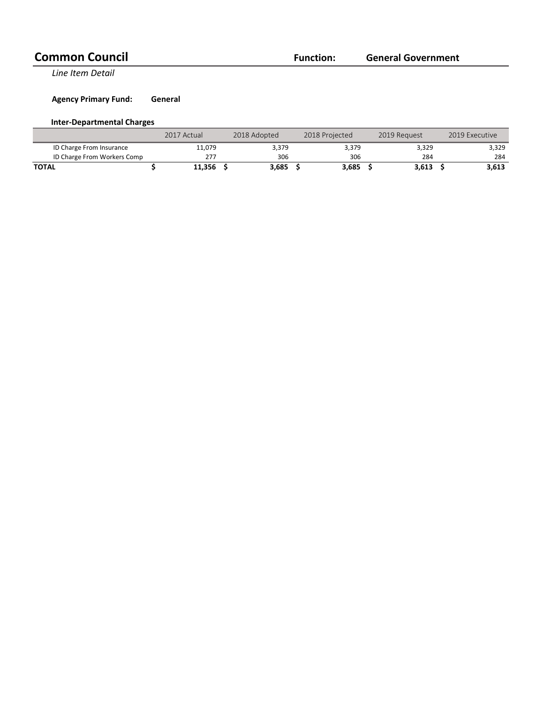## **Common Council Function:**

**General Government**

**Line Item Detail** 

**Agency Primary Fund: General** 

#### **Inter-Departmental Charges**

|                             | 2017 Actual |        | 2018 Adopted | 2018 Projected | 2019 Request | 2019 Executive |
|-----------------------------|-------------|--------|--------------|----------------|--------------|----------------|
| ID Charge From Insurance    |             | 11.079 | 3,379        | 3,379          | 3,329        | 3,329          |
| ID Charge From Workers Comp |             | 277    | 306          | 306            | 284          | 284            |
| <b>TOTAL</b>                |             | 11,356 | 3.685        | 3,685          | 3,613        | 3,613          |